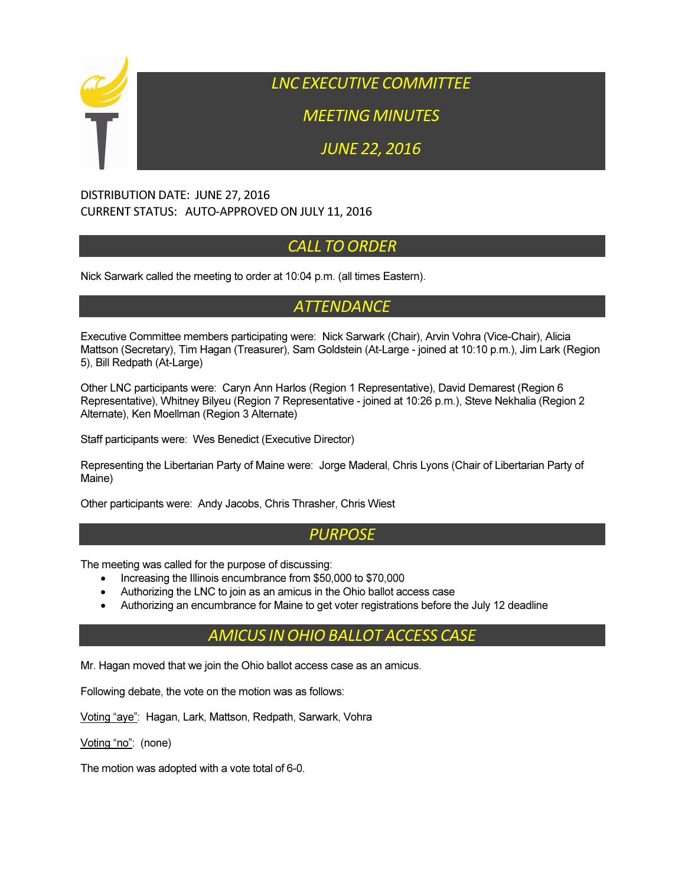

LNC EXECUTIVE COMMITTEE

MEETING MINUTES

JUNE 22, 2016

#### DISTRIBUTION DATE: JUNE 27, 2016 CURRENT STATUS: AUTO-APPROVED ON JULY 11, 2016

# CALL TO ORDER

Nick Sarwark called the meeting to order at 10:04 p.m. (all times Eastern).

## **ATTENDANCE**

Executive Committee members participating were: Nick Sarwark (Chair), Arvin Vohra (Vice-Chair), Alicia Mattson (Secretary), Tim Hagan (Treasurer), Sam Goldstein (At-Large - joined at 10:10 p.m.), Jim Lark (Region 5), Bill Redpath (At-Large)

Other LNC participants were: Caryn Ann Harlos (Region 1 Representative), David Demarest (Region 6 Representative), Whitney Bilyeu (Region 7 Representative - joined at 10:26 p.m.), Steve Nekhalia (Region 2 Alternate), Ken Moellman (Region 3 Alternate)

Staff participants were: Wes Benedict (Executive Director)

Representing the Libertarian Party of Maine were: Jorge Maderal, Chris Lyons (Chair of Libertarian Party of Maine)

Other participants were: Andy Jacobs, Chris Thrasher, Chris Wiest

## **PURPOSE**

The meeting was called for the purpose of discussing:

- Increasing the Illinois encumbrance from \$50,000 to \$70,000
- Authorizing the LNC to join as an amicus in the Ohio ballot access case
- Authorizing an encumbrance for Maine to get voter registrations before the July 12 deadline

## AMICUS IN OHIO BALLOT ACCESS CASE

Mr. Hagan moved that we join the Ohio ballot access case as an amicus.

Following debate, the vote on the motion was as follows:

Voting "aye": Hagan, Lark, Mattson, Redpath, Sarwark, Vohra

Voting "no": (none)

The motion was adopted with a vote total of 6-0.